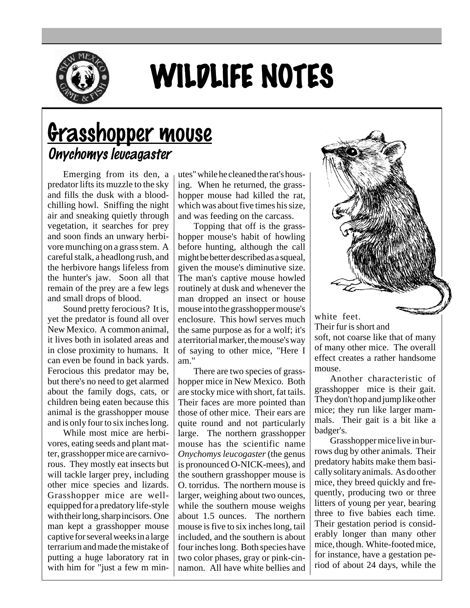

## WILDLIFE NOTES

## Grasshopper mouse Onychomys leucagaster

Emerging from its den, a predator lifts its muzzle to the sky and fills the dusk with a bloodchilling howl. Sniffing the night air and sneaking quietly through vegetation, it searches for prey and soon finds an unwary herbivore munching on a grass stem. A careful stalk, a headlong rush, and the herbivore hangs lifeless from the hunter's jaw. Soon all that remain of the prey are a few legs and small drops of blood.

Sound pretty ferocious? It is, yet the predator is found all over New Mexico. A common animal, it lives both in isolated areas and in close proximity to humans. It can even be found in back yards. Ferocious this predator may be, but there's no need to get alarmed about the family dogs, cats, or children being eaten because this animal is the grasshopper mouse and is only four to six inches long.

While most mice are herbivores, eating seeds and plant matter, grasshopper mice are carnivorous. They mostly eat insects but will tackle larger prey, including other mice species and lizards. Grasshopper mice are wellequipped for a predatory life-style with their long, sharp incisors. One man kept a grasshopper mouse captive for several weeks in a large terrarium and made the mistake of putting a huge laboratory rat in with him for "just a few m minutes" while he cleaned the rat's housing. When he returned, the grasshopper mouse had killed the rat, which was about five times his size, and was feeding on the carcass.

Topping that off is the grasshopper mouse's habit of howling before hunting, although the call might be better described as a squeal, given the mouse's diminutive size. The man's captive mouse howled routinely at dusk and whenever the man dropped an insect or house mouse into the grasshopper mouse's enclosure. This howl serves much the same purpose as for a wolf; it's a territorial marker, the mouse's way of saying to other mice, "Here I am."

There are two species of grasshopper mice in New Mexico. Both are stocky mice with short, fat tails. Their faces are more pointed than those of other mice. Their ears are quite round and not particularly large. The northern grasshopper mouse has the scientific name *Onychomys leucogaster* (the genus is pronounced O-NICK-mees), and the southern grasshopper mouse is O. torridus. The northern mouse is larger, weighing about two ounces, while the southern mouse weighs about 1.5 ounces. The northern mouse is five to six inches long, tail included, and the southern is about four inches long. Both species have two color phases, gray or pink-cinnamon. All have white bellies and



Their fur is short and soft, not coarse like that of many

of many other mice. The overall effect creates a rather handsome mouse.

Another characteristic of grasshopper mice is their gait. They don't hop and jump like other mice; they run like larger mammals. Their gait is a bit like a badger's.

Grasshopper mice live in burrows dug by other animals. Their predatory habits make them basically solitary animals. As do other mice, they breed quickly and frequently, producing two or three litters of young per year, bearing three to five babies each time. Their gestation period is considerably longer than many other mice, though. White-footed mice, for instance, have a gestation period of about 24 days, while the